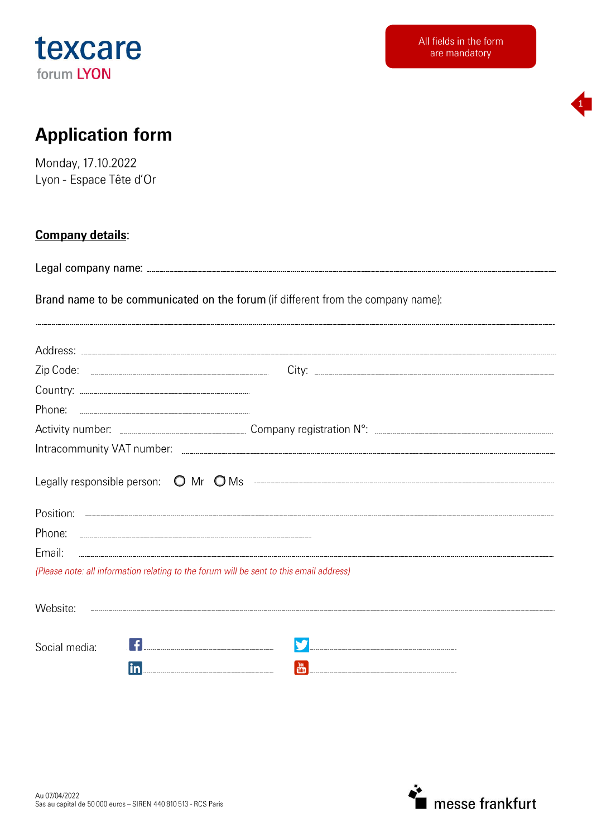



# **Application form**

Monday, 17.10.2022 Lyon - Espace Tête d'Or

### **Company details:**

Brand name to be communicated on the forum (if different from the company name):

| Email:                                                                                  |  |
|-----------------------------------------------------------------------------------------|--|
| (Please note: all information relating to the forum will be sent to this email address) |  |
| Website:                                                                                |  |
| Social media:                                                                           |  |
| <u>in _________________________________</u>                                             |  |

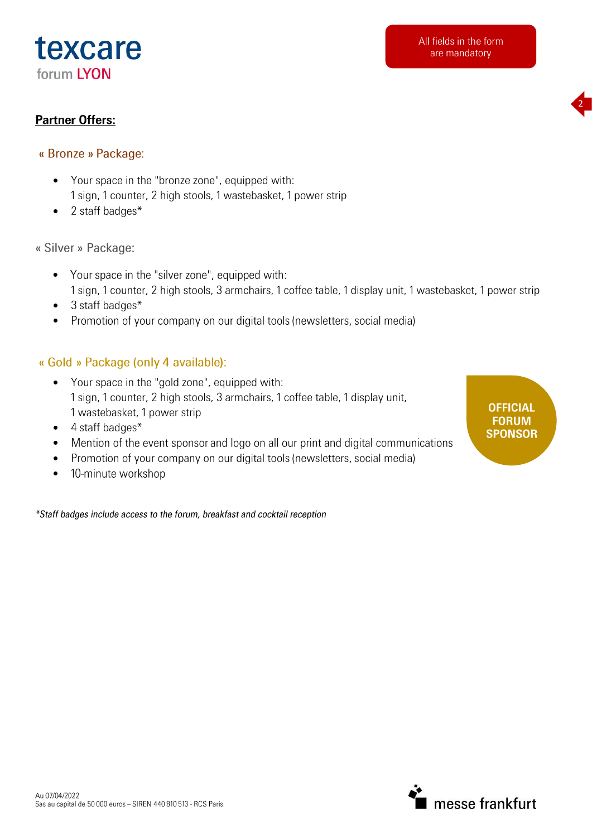



## **Partner Offers:**

- « Bronze » Package:
	- Your space in the "bronze zone", equipped with:  $\bullet$ 1 sign, 1 counter, 2 high stools, 1 wastebasket, 1 power strip
	- 2 staff badges\*  $\bullet$

« Silver » Package:

- Your space in the "silver zone", equipped with:  $\bullet$ 1 sign, 1 counter, 2 high stools, 3 armchairs, 1 coffee table, 1 display unit, 1 wastebasket, 1 power strip
- 3 staff badges\*  $\bullet$
- Promotion of your company on our digital tools (newsletters, social media)  $\bullet$

## « Gold » Package (only 4 available):

- Your space in the "gold zone", equipped with:  $\bullet$ 1 sign, 1 counter, 2 high stools, 3 armchairs, 1 coffee table, 1 display unit, 1 wastebasket, 1 power strip
- 4 staff badges\*  $\bullet$
- Mention of the event sponsor and logo on all our print and digital communications  $\bullet$
- Promotion of your company on our digital tools (newsletters, social media)  $\bullet$
- 10-minute workshop  $\bullet$

\*Staff badges include access to the forum, breakfast and cocktail reception

**OFFICIAL FORUM SPONSOR** 

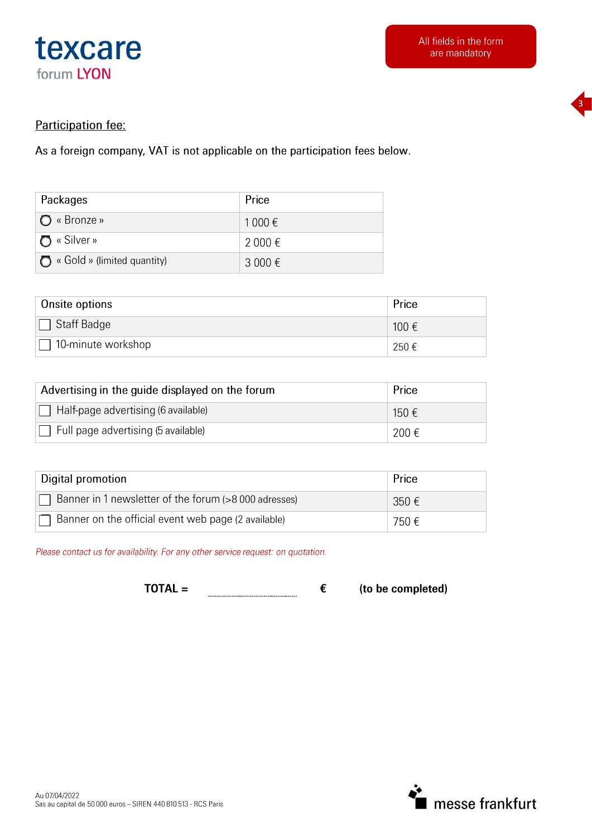



### Participation fee:

As a foreign company, VAT is not applicable on the participation fees below.

| Packages                           | Price   |
|------------------------------------|---------|
| I ◯ « Bronze »                     | 1 000 € |
| ∩ « Silver »                       | 2 000 € |
| $\Box$ « Gold » (limited quantity) | 3 000 € |

| Onsite options            | Price |
|---------------------------|-------|
| $\Box$ Staff Badge        | 100 € |
| $\Box$ 10-minute workshop | 250€  |

| Advertising in the guide displayed on the forum | Price |
|-------------------------------------------------|-------|
| Half-page advertising (6 available)             | 150 € |
| $\Box$ Full page advertising (5 available)      | 200€  |

| Digital promotion                                     | Price          |
|-------------------------------------------------------|----------------|
| Banner in 1 newsletter of the forum (>8 000 adresses) | 350 $\epsilon$ |
| Banner on the official event web page (2 available)   | 750 €          |

Please contact us for availability. For any other service request: on quotation.

 $TOTAL =$ € 

(to be completed)

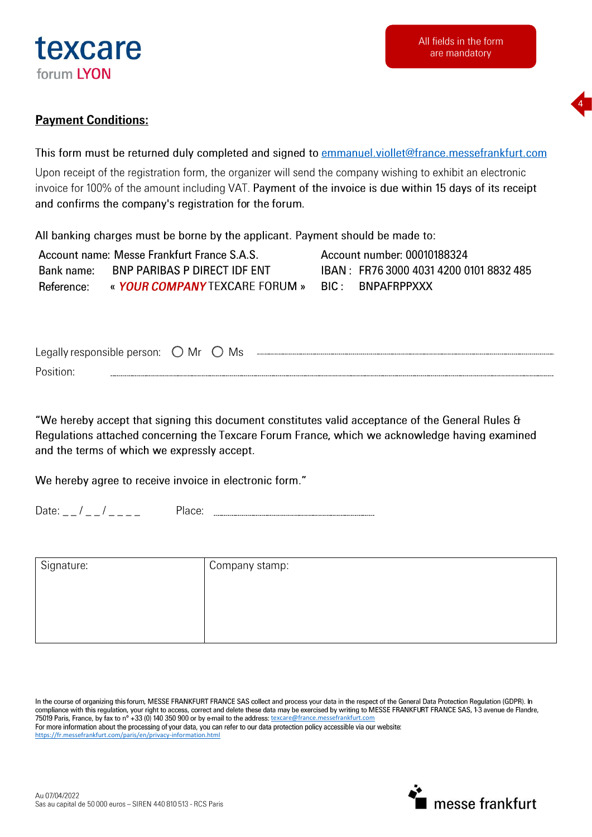



## **Payment Conditions:**

This form must be returned duly completed and signed to emmanuel.viollet@france.messefrankfurt.com

Upon receipt of the registration form, the organizer will send the company wishing to exhibit an electronic invoice for 100% of the amount including VAT. Payment of the invoice is due within 15 days of its receipt and confirms the company's registration for the forum.

All banking charges must be borne by the applicant. Payment should be made to:

|                | Account name: Messe Frankfurt France S.A.S.      | Account number: 00010188324              |
|----------------|--------------------------------------------------|------------------------------------------|
| - Bank name: - | BNP PARIBAS P DIRECT IDF ENT                     | IBAN : FR76 3000 4031 4200 0101 8832 485 |
| Reference:     | « YOUR COMPANY TEXCARE FORUM » BIC : BNPAFRPPXXX |                                          |

| reds<br>responsible<br>w | person: | Mr | Ms<br>$\overline{\phantom{a}}$ |  |
|--------------------------|---------|----|--------------------------------|--|
| Position.                |         |    |                                |  |

"We hereby accept that signing this document constitutes valid acceptance of the General Rules & Regulations attached concerning the Texcare Forum France, which we acknowledge having examined and the terms of which we expressly accept.

We hereby agree to receive invoice in electronic form."

Date:  $\frac{1}{2}$  /  $\frac{1}{2}$  /  $\frac{1}{2}$  =  $\frac{1}{2}$ 

| Signature: | Company stamp: |  |
|------------|----------------|--|
|            |                |  |
|            |                |  |
|            |                |  |

In the course of organizing this forum, MESSE FRANKFURT FRANCE SAS collect and process your data in the respect of the General Data Protection Regulation (GDPR). In compliance with this regulation, your right to access, correct and delete these data may be exercised by writing to MESSE FRANKFURT FRANCE SAS, 1-3 avenue de Flandre,<br>75019 Paris, France, by fax to n° +33 (0) 140 350 900 o For more information about the processing of your data, you can refer to our data protection policy accessible via our website: https://fr.messefrankfurt.com/paris/en/privacy-information.html

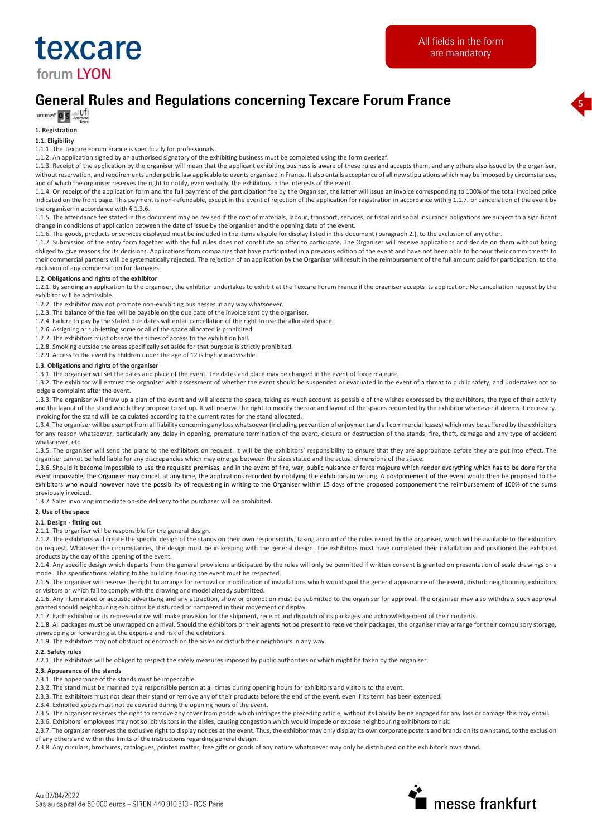

5

# **General Rules and Regulations concerning Texcare Forum France**

 $\underline{\text{unimev}}$  **O S**  $\underset{\text{Approxed}}{\text{opre}}$ 

#### **1. Registration**

#### **1.1. Eligibility**

1.1.1. The Texcare Forum France is specifically for professionals.

1.1.2. An application signed by an authorised signatory of the exhibiting business must be completed using the form overleaf.

1.1.3. Receipt of the application by the organiser will mean that the applicant exhibiting business is aware of these rules and accepts them, and any others also issued by the organiser, without reservation, and requirements under public law applicable to events organised in France. It also entails acceptance of all new stipulations which may be imposed by circumstances, and of which the organiser reserves the right to notify, even verbally, the exhibitors in the interests of the event.

1.1.4. On receipt of the application form and the full payment of the participation fee by the Organiser, the latter will issue an invoice corresponding to 100% of the total invoiced price indicated on the front page. This payment is non-refundable, except in the event of rejection of the application for registration in accordance with § 1.1.7. or cancellation of the event by the organiser in accordance with § 1.3.6.

1.1.5. The attendance fee stated in this document may be revised if the cost of materials, labour, transport, services, or fiscal and social insurance obligations are subject to a significant change in conditions of application between the date of issue by the organiser and the opening date of the event.

1.1.6. The goods, products or services displayed must be included in the items eligible for display listed in this document (paragraph 2.), to the exclusion of any other.

1.1.7. Submission of the entry form together with the full rules does not constitute an offer to participate. The Organiser will receive applications and decide on them without being obliged to give reasons for its decisions. Applications from companies that have participated in a previous edition of the event and have not been able to honour their commitments to their commercial partners will be systematically rejected. The rejection of an application by the Organiser will result in the reimbursement of the full amount paid for participation, to the exclusion of any compensation for damages.

#### **1.2. Obligations and rights of the exhibitor**

1.2.1. By sending an application to the organiser, the exhibitor undertakes to exhibit at the Texcare Forum France if the organiser accepts its application. No cancellation request by the exhibitor will be admissible.

1.2.2. The exhibitor may not promote non-exhibiting businesses in any way whatsoever.

1.2.3. The balance of the fee will be payable on the due date of the invoice sent by the organiser.

1.2.4. Failure to pay by the stated due dates will entail cancellation of the right to use the allocated space.

1.2.6. Assigning or sub-letting some or all of the space allocated is prohibited.

1.2.7. The exhibitors must observe the times of access to the exhibition hall.

1.2.8. Smoking outside the areas specifically set aside for that purpose is strictly prohibited.

1.2.9. Access to the event by children under the age of 12 is highly inadvisable.

#### **1.3. Obligations and rights of the organiser**

1.3.1. The organiser will set the dates and place of the event. The dates and place may be changed in the event of force majeure.

1.3.2. The exhibitor will entrust the organiser with assessment of whether the event should be suspended or evacuated in the event of a threat to public safety, and undertakes not to lodge a complaint after the event.

1.3.3. The organiser will draw up a plan of the event and will allocate the space, taking as much account as possible of the wishes expressed by the exhibitors, the type of their activity and the layout of the stand which they propose to set up. It will reserve the right to modify the size and layout of the spaces requested by the exhibitor whenever it deems it necessary. Invoicing for the stand will be calculated according to the current rates for the stand allocated.

1.3.4. The organiser will be exempt from all liability concerning any loss whatsoever (including prevention of enjoyment and all commercial losses) which may be suffered by the exhibitors for any reason whatsoever, particularly any delay in opening, premature termination of the event, closure or destruction of the stands, fire, theft, damage and any type of accident whatsoever, etc.

1.3.5. The organiser will send the plans to the exhibitors on request. It will be the exhibitors' responsibility to ensure that they are appropriate before they are put into effect. The organiser cannot be held liable for any discrepancies which may emerge between the sizes stated and the actual dimensions of the space.

1.3.6. Should it become impossible to use the requisite premises, and in the event of fire, war, public nuisance or force majeure which render everything which has to be done for the event impossible, the Organiser may cancel, at any time, the applications recorded by notifying the exhibitors in writing. A postponement of the event would then be proposed to the exhibitors who would however have the possibility of requesting in writing to the Organiser within 15 days of the proposed postponement the reimbursement of 100% of the sums previously invoiced.

1.3.7. Sales involving immediate on-site delivery to the purchaser will be prohibited.

#### **2. Use of the space**

#### **2.1. Design - fitting out**

2.1.1. The organiser will be responsible for the general design.

2.1.2. The exhibitors will create the specific design of the stands on their own responsibility, taking account of the rules issued by the organiser, which will be available to the exhibitors on request. Whatever the circumstances, the design must be in keeping with the general design. The exhibitors must have completed their installation and positioned the exhibited products by the day of the opening of the event.

2.1.4. Any specific design which departs from the general provisions anticipated by the rules will only be permitted if written consent is granted on presentation of scale drawings or a model. The specifications relating to the building housing the event must be respected.

2.1.5. The organiser will reserve the right to arrange for removal or modification of installations which would spoil the general appearance of the event, disturb neighbouring exhibitors or visitors or which fail to comply with the drawing and model already submitted.

2.1.6. Any illuminated or acoustic advertising and any attraction, show or promotion must be submitted to the organiser for approval. The organiser may also withdraw such approval granted should neighbouring exhibitors be disturbed or hampered in their movement or display.

2.1.7. Each exhibitor or its representative will make provision for the shipment, receipt and dispatch of its packages and acknowledgement of their contents.

2.1.8. All packages must be unwrapped on arrival. Should the exhibitors or their agents not be present to receive their packages, the organiser may arrange for their compulsory storage, unwrapping or forwarding at the expense and risk of the exhibitors.

2.1.9. The exhibitors may not obstruct or encroach on the aisles or disturb their neighbours in any way.

#### **2.2. Safety rules**

2.2.1. The exhibitors will be obliged to respect the safely measures imposed by public authorities or which might be taken by the organiser.

#### **2.3. Appearance of the stands**

2.3.1. The appearance of the stands must be impeccable.

2.3.2. The stand must be manned by a responsible person at all times during opening hours for exhibitors and visitors to the event.

2.3.3. The exhibitors must not clear their stand or remove any of their products before the end of the event, even if its term has been extended.

2.3.4. Exhibited goods must not be covered during the opening hours of the event.

2.3.5. The organiser reserves the right to remove any cover from goods which infringes the preceding article, without its liability being engaged for any loss or damage this may entail.

2.3.6. Exhibitors' employees may not solicit visitors in the aisles, causing congestion which would impede or expose neighbouring exhibitors to risk.

2.3.7. The organiser reserves the exclusive right to display notices at the event. Thus, the exhibitor may only display its own corporate posters and brands on its own stand, to the exclusion of any others and within the limits of the instructions regarding general design.

2.3.8. Any circulars, brochures, catalogues, printed matter, free gifts or goods of any nature whatsoever may only be distributed on the exhibitor's own stand.